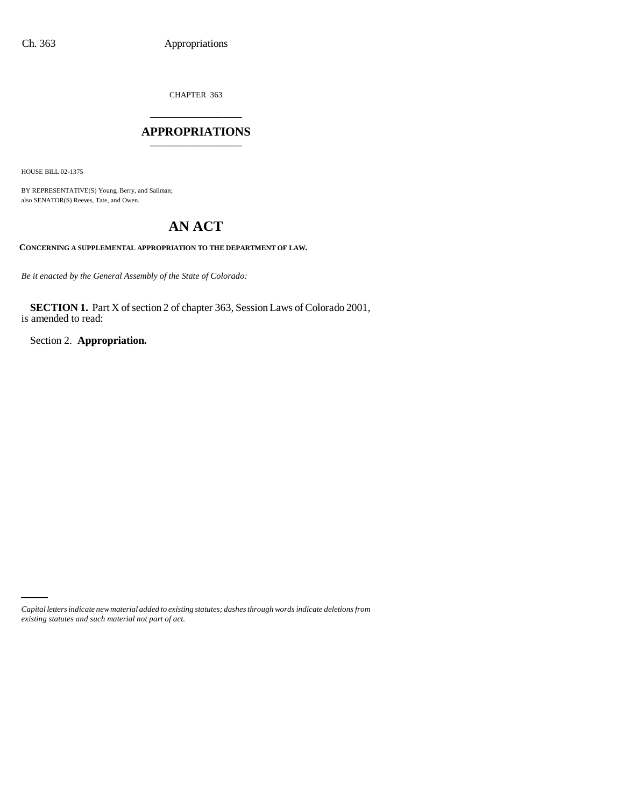CHAPTER 363 \_\_\_\_\_\_\_\_\_\_\_\_\_\_\_

## **APPROPRIATIONS** \_\_\_\_\_\_\_\_\_\_\_\_\_\_\_

HOUSE BILL 02-1375

BY REPRESENTATIVE(S) Young, Berry, and Saliman; also SENATOR(S) Reeves, Tate, and Owen.

# **AN ACT**

**CONCERNING A SUPPLEMENTAL APPROPRIATION TO THE DEPARTMENT OF LAW.**

*Be it enacted by the General Assembly of the State of Colorado:*

**SECTION 1.** Part X of section 2 of chapter 363, Session Laws of Colorado 2001, is amended to read:

Section 2. **Appropriation.**

*Capital letters indicate new material added to existing statutes; dashes through words indicate deletions from existing statutes and such material not part of act.*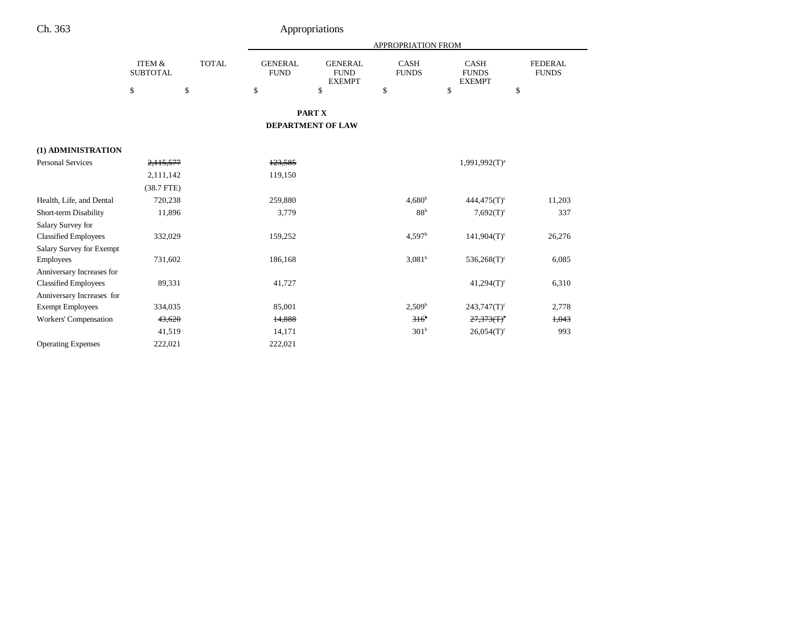|                                 |                                      |              |                               |                                                | APPROPRIATION FROM          |                                              |                                |
|---------------------------------|--------------------------------------|--------------|-------------------------------|------------------------------------------------|-----------------------------|----------------------------------------------|--------------------------------|
|                                 | <b>ITEM &amp;</b><br><b>SUBTOTAL</b> | <b>TOTAL</b> | <b>GENERAL</b><br><b>FUND</b> | <b>GENERAL</b><br><b>FUND</b><br><b>EXEMPT</b> | <b>CASH</b><br><b>FUNDS</b> | <b>CASH</b><br><b>FUNDS</b><br><b>EXEMPT</b> | <b>FEDERAL</b><br><b>FUNDS</b> |
|                                 | \$                                   | \$           | \$                            | \$                                             | \$                          | \$                                           | \$                             |
|                                 |                                      |              |                               | PART X                                         |                             |                                              |                                |
|                                 |                                      |              |                               | <b>DEPARTMENT OF LAW</b>                       |                             |                                              |                                |
| (1) ADMINISTRATION              |                                      |              |                               |                                                |                             |                                              |                                |
| <b>Personal Services</b>        | 2,115,577                            |              | 123.585                       |                                                |                             | $1,991,992(T)^{a}$                           |                                |
|                                 | 2,111,142                            |              | 119,150                       |                                                |                             |                                              |                                |
|                                 | $(38.7$ FTE)                         |              |                               |                                                |                             |                                              |                                |
| Health, Life, and Dental        | 720,238                              |              | 259,880                       |                                                | $4,680^{\rm b}$             | $444.475(T)$ <sup>c</sup>                    | 11,203                         |
| Short-term Disability           | 11,896                               |              | 3,779                         |                                                | 88 <sup>b</sup>             | $7,692(T)$ <sup>c</sup>                      | 337                            |
| Salary Survey for               |                                      |              |                               |                                                |                             |                                              |                                |
| <b>Classified Employees</b>     | 332,029                              |              | 159,252                       |                                                | 4,597 <sup>b</sup>          | $141,904(T)$ <sup>c</sup>                    | 26,276                         |
| <b>Salary Survey for Exempt</b> |                                      |              |                               |                                                |                             |                                              |                                |
| <b>Employees</b>                | 731,602                              |              | 186,168                       |                                                | 3,081 <sup>b</sup>          | $536,268(T)$ <sup>c</sup>                    | 6,085                          |
| Anniversary Increases for       |                                      |              |                               |                                                |                             |                                              |                                |
| <b>Classified Employees</b>     | 89,331                               |              | 41,727                        |                                                |                             | $41,294(T)$ <sup>c</sup>                     | 6,310                          |
| Anniversary Increases for       |                                      |              |                               |                                                |                             |                                              |                                |
| <b>Exempt Employees</b>         | 334,035                              |              | 85,001                        |                                                | 2,509 <sup>b</sup>          | $243,747(T)$ <sup>c</sup>                    | 2,778                          |
| Workers' Compensation           | 43,620                               |              | 14,888                        |                                                | $316^b$                     | $27,373(T)$ <sup>c</sup>                     | 1,043                          |
|                                 | 41,519                               |              | 14,171                        |                                                | 301 <sup>b</sup>            | $26.054(T)$ <sup>c</sup>                     | 993                            |
| <b>Operating Expenses</b>       | 222,021                              |              | 222,021                       |                                                |                             |                                              |                                |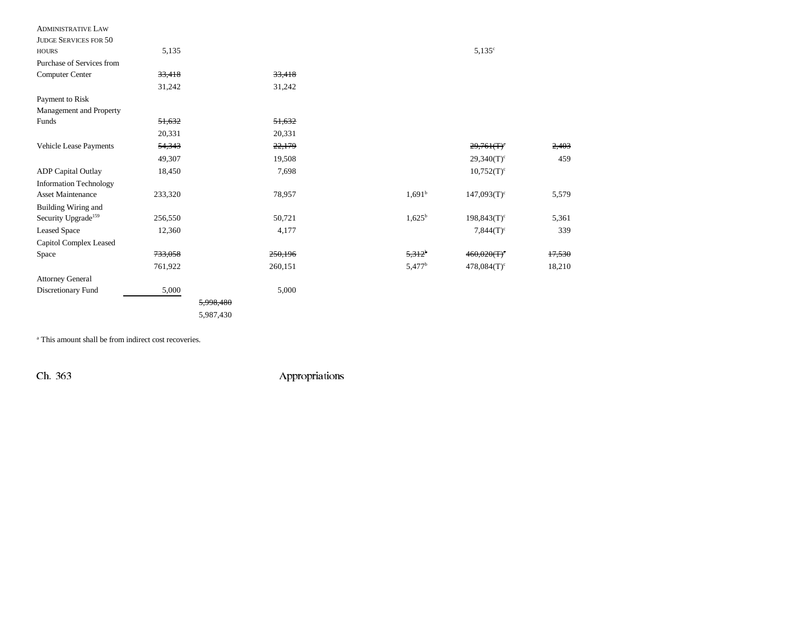| <b>ADMINISTRATIVE LAW</b>       |         |           |                    |                           |        |
|---------------------------------|---------|-----------|--------------------|---------------------------|--------|
| <b>JUDGE SERVICES FOR 50</b>    |         |           |                    |                           |        |
| <b>HOURS</b>                    | 5,135   |           |                    | $5,135^{\circ}$           |        |
| Purchase of Services from       |         |           |                    |                           |        |
| Computer Center                 | 33,418  | 33,418    |                    |                           |        |
|                                 | 31,242  | 31,242    |                    |                           |        |
| Payment to Risk                 |         |           |                    |                           |        |
| Management and Property         |         |           |                    |                           |        |
| Funds                           | 51,632  | 51,632    |                    |                           |        |
|                                 | 20,331  | 20,331    |                    |                           |        |
| Vehicle Lease Payments          | 54,343  | 22,179    |                    | 29,761(T)                 | 2,403  |
|                                 | 49,307  | 19,508    |                    | $29,340(T)^c$             | 459    |
| <b>ADP</b> Capital Outlay       | 18,450  | 7,698     |                    | $10,752(T)^c$             |        |
| <b>Information Technology</b>   |         |           |                    |                           |        |
| <b>Asset Maintenance</b>        | 233,320 | 78,957    | $1,691^b$          | $147,093(T)$ <sup>c</sup> | 5,579  |
| Building Wiring and             |         |           |                    |                           |        |
| Security Upgrade <sup>159</sup> | 256,550 | 50,721    | $1,625^{\rm b}$    | $198,843(T)$ <sup>c</sup> | 5,361  |
| <b>Leased Space</b>             | 12,360  | 4,177     |                    | $7,844(T)$ <sup>c</sup>   | 339    |
| Capitol Complex Leased          |         |           |                    |                           |        |
| Space                           | 733,058 | 250,196   | 5,312 <sup>b</sup> | 460,020(T)                | 17,530 |
|                                 | 761,922 | 260,151   | 5,477 <sup>b</sup> | $478,084(T)$ <sup>c</sup> | 18,210 |
| <b>Attorney General</b>         |         |           |                    |                           |        |
| Discretionary Fund              | 5,000   | 5,000     |                    |                           |        |
|                                 |         | 5,998,480 |                    |                           |        |
|                                 |         | 5,987,430 |                    |                           |        |

<sup>a</sup> This amount shall be from indirect cost recoveries.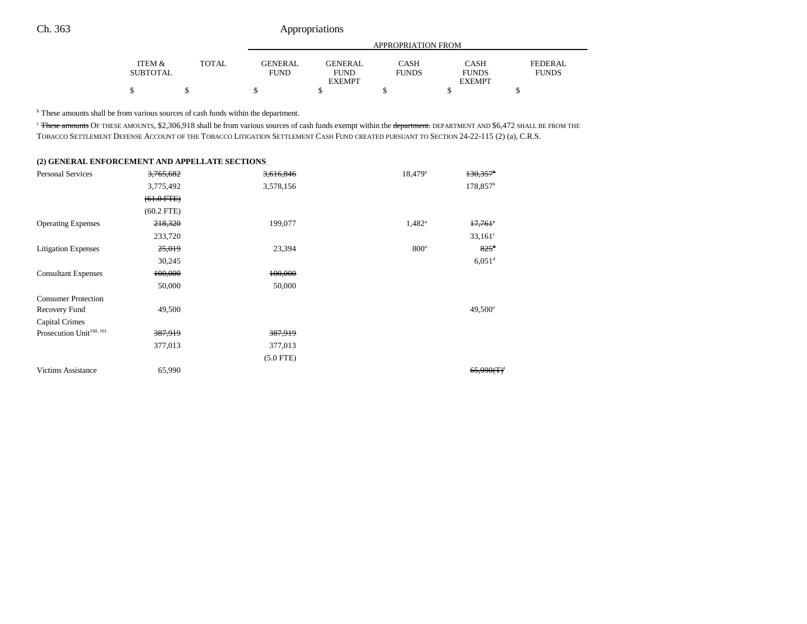|                 |              | APPROPRIATION FROM |                |              |               |              |  |  |
|-----------------|--------------|--------------------|----------------|--------------|---------------|--------------|--|--|
| ITEM &          | <b>TOTAL</b> | <b>GENERAL</b>     | <b>GENERAL</b> | <b>CASH</b>  | CASH          | FEDERAL      |  |  |
| <b>SUBTOTAL</b> |              | <b>FUND</b>        | <b>FUND</b>    | <b>FUNDS</b> | <b>FUNDS</b>  | <b>FUNDS</b> |  |  |
|                 |              |                    | <b>EXEMPT</b>  |              | <b>EXEMPT</b> |              |  |  |
|                 |              |                    |                |              |               |              |  |  |

<sup>b</sup> These amounts shall be from various sources of cash funds within the department.

<sup>c</sup> These amounts OF THESE AMOUNTS, \$2,306,918 shall be from various sources of cash funds exempt within the department. DEPARTMENT AND \$6,472 SHALL BE FROM THE TOBACCO SETTLEMENT DEFENSE ACCOUNT OF THE TOBACCO LITIGATION SETTLEMENT CASH FUND CREATED PURSUANT TO SECTION 24-22-115 (2) (a), C.R.S.

## **(2) GENERAL ENFORCEMENT AND APPELLATE SECTIONS**

| <b>Personal Services</b>             | 3,765,682    | 3,616,846   | 18,479 <sup>a</sup> | $130,357$ <sup>b</sup> |
|--------------------------------------|--------------|-------------|---------------------|------------------------|
|                                      | 3,775,492    | 3,578,156   |                     | 178,857 <sup>b</sup>   |
|                                      | $(61.0$ FTE) |             |                     |                        |
|                                      | $(60.2$ FTE) |             |                     |                        |
| <b>Operating Expenses</b>            | 218,320      | 199,077     | $1,482^a$           | $17,761$ °             |
|                                      | 233,720      |             |                     | $33,161^{\circ}$       |
| <b>Litigation Expenses</b>           | 25,019       | 23,394      | 800 <sup>a</sup>    | $825^{\rm d}$          |
|                                      | 30,245       |             |                     | $6,051$ <sup>d</sup>   |
| <b>Consultant Expenses</b>           | 100,000      | 100,000     |                     |                        |
|                                      | 50,000       | 50,000      |                     |                        |
| <b>Consumer Protection</b>           |              |             |                     |                        |
| Recovery Fund                        | 49,500       |             |                     | $49,500^{\circ}$       |
| Capital Crimes                       |              |             |                     |                        |
| Prosecution Unit <sup>160, 161</sup> | 387,919      | 387,919     |                     |                        |
|                                      | 377,013      | 377,013     |                     |                        |
|                                      |              | $(5.0$ FTE) |                     |                        |
| <b>Victims Assistance</b>            | 65,990       |             |                     | 65,990(f)              |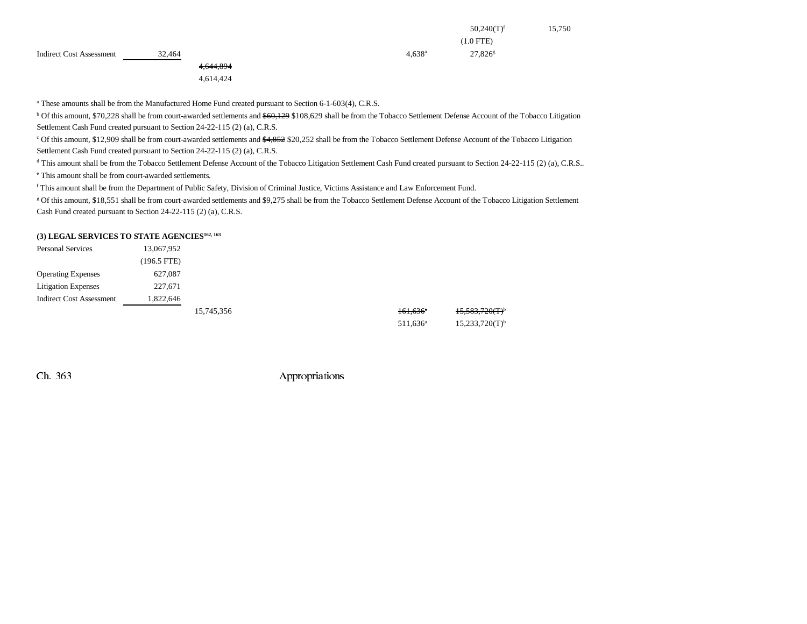|                 | $50,240(T)^f$       | 15,750 |
|-----------------|---------------------|--------|
|                 | $(1.0$ FTE)         |        |
| $4,638^{\rm a}$ | 27,826 <sup>g</sup> |        |
|                 |                     |        |

Indirect Cost Assessment 32,464

4,644,894

4,614,424

<sup>a</sup> These amounts shall be from the Manufactured Home Fund created pursuant to Section 6-1-603(4), C.R.S.

<sup>b</sup> Of this amount, \$70,228 shall be from court-awarded settlements and \$60,129 \$108,629 shall be from the Tobacco Settlement Defense Account of the Tobacco Litigation Settlement Cash Fund created pursuant to Section 24-22-115 (2) (a), C.R.S.

<sup>c</sup> Of this amount, \$12,909 shall be from court-awarded settlements and \$4,852 \$20,252 shall be from the Tobacco Settlement Defense Account of the Tobacco Litigation Settlement Cash Fund created pursuant to Section 24-22-115 (2) (a), C.R.S.

<sup>d</sup> This amount shall be from the Tobacco Settlement Defense Account of the Tobacco Litigation Settlement Cash Fund created pursuant to Section 24-22-115 (2) (a), C.R.S..

e This amount shall be from court-awarded settlements.

f This amount shall be from the Department of Public Safety, Division of Criminal Justice, Victims Assistance and Law Enforcement Fund.

g Of this amount, \$18,551 shall be from court-awarded settlements and \$9,275 shall be from the Tobacco Settlement Defense Account of the Tobacco Litigation Settlement Cash Fund created pursuant to Section 24-22-115 (2) (a), C.R.S.

#### **(3) LEGAL SERVICES TO STATE AGENCIES162, 163**

| <b>Personal Services</b>        | 13,067,952    |            |                        |                              |
|---------------------------------|---------------|------------|------------------------|------------------------------|
|                                 | $(196.5$ FTE) |            |                        |                              |
| <b>Operating Expenses</b>       | 627,087       |            |                        |                              |
| <b>Litigation Expenses</b>      | 227,671       |            |                        |                              |
| <b>Indirect Cost Assessment</b> | 1,822,646     |            |                        |                              |
|                                 |               | 15,745,356 | $161,636$ <sup>a</sup> | 15,583,720(T)                |
|                                 |               |            | $511.636^a$            | $15,233,720(T)$ <sup>b</sup> |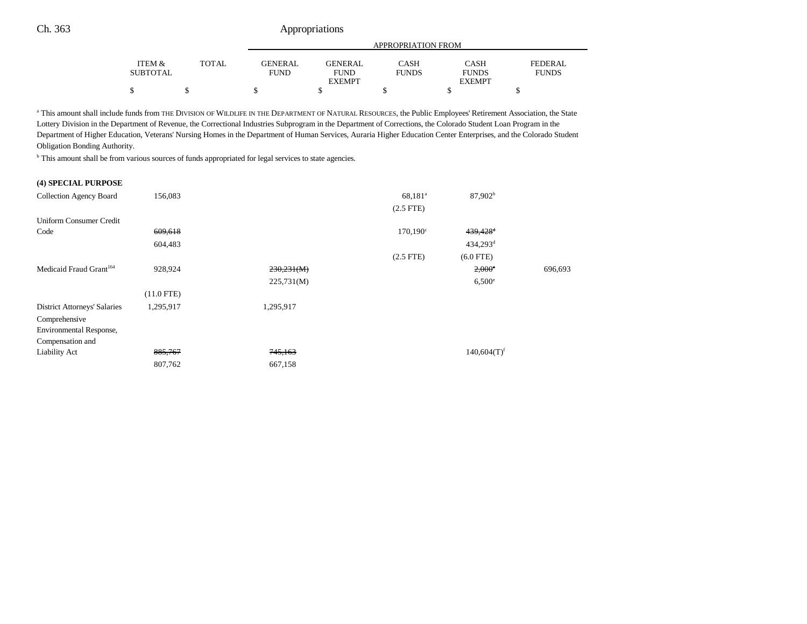|                                                    |              |                         | APPROPRIATION FROM            |                      |                             |                         |  |  |
|----------------------------------------------------|--------------|-------------------------|-------------------------------|----------------------|-----------------------------|-------------------------|--|--|
| <b>ITEM <math>\&amp;</math></b><br><b>SUBTOTAL</b> | <b>TOTAL</b> | GENERAL.<br><b>FUND</b> | <b>GENERAL</b><br><b>FUND</b> | CASH<br><b>FUNDS</b> | <b>CASH</b><br><b>FUNDS</b> | FEDERAL<br><b>FUNDS</b> |  |  |
|                                                    |              |                         | <b>EXEMPT</b>                 |                      | <b>EXEMPT</b>               |                         |  |  |
| Φ                                                  |              |                         |                               |                      |                             |                         |  |  |

a This amount shall include funds from THE DIVISION OF WILDLIFE IN THE DEPARTMENT OF NATURAL RESOURCES, the Public Employees' Retirement Association, the State Lottery Division in the Department of Revenue, the Correctional Industries Subprogram in the Department of Corrections, the Colorado Student Loan Program in the Department of Higher Education, Veterans' Nursing Homes in the Department of Human Services, Auraria Higher Education Center Enterprises, and the Colorado Student Obligation Bonding Authority.

b This amount shall be from various sources of funds appropriated for legal services to state agencies.

#### **(4) SPECIAL PURPOSE**

| Collection Agency Board             | 156,083      |            | 68,181 <sup>a</sup> | 87,902 <sup>b</sup>       |         |
|-------------------------------------|--------------|------------|---------------------|---------------------------|---------|
|                                     |              |            | $(2.5$ FTE)         |                           |         |
| Uniform Consumer Credit             |              |            |                     |                           |         |
| Code                                | 609,618      |            | $170,190^{\circ}$   | $439,428$ <sup>d</sup>    |         |
|                                     | 604,483      |            |                     | $434,293$ <sup>d</sup>    |         |
|                                     |              |            | $(2.5$ FTE)         | $(6.0$ FTE)               |         |
| Medicaid Fraud Grant <sup>164</sup> | 928,924      | 230,231(M) |                     | $2,000^\circ$             | 696,693 |
|                                     |              | 225,731(M) |                     | $6,500^{\circ}$           |         |
|                                     | $(11.0$ FTE) |            |                     |                           |         |
| <b>District Attorneys' Salaries</b> | 1,295,917    | 1,295,917  |                     |                           |         |
| Comprehensive                       |              |            |                     |                           |         |
| Environmental Response,             |              |            |                     |                           |         |
| Compensation and                    |              |            |                     |                           |         |
| Liability Act                       | 885,767      | 745,163    |                     | $140,604(T)$ <sup>f</sup> |         |
|                                     | 807,762      | 667,158    |                     |                           |         |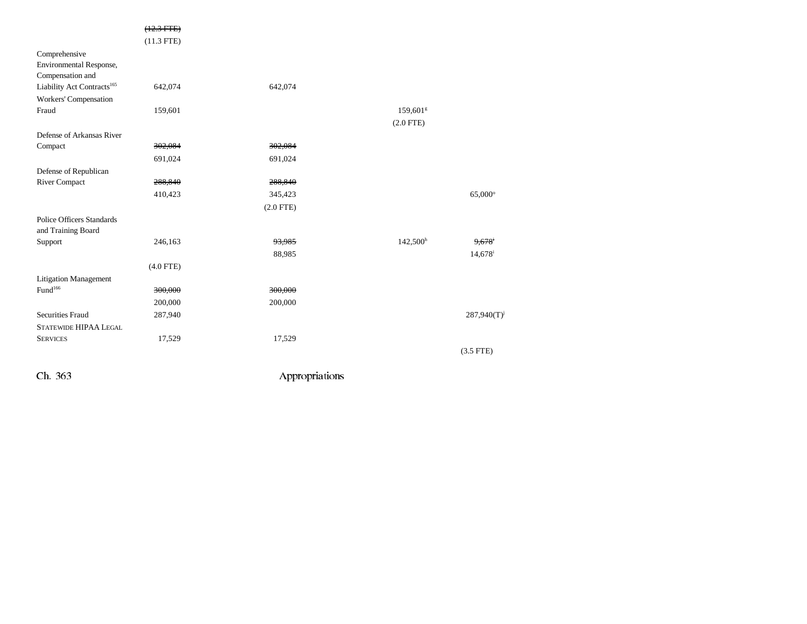|                                                              | $(12.3$ FTE $)$<br>$(11.3$ FTE) |             |                      |                       |
|--------------------------------------------------------------|---------------------------------|-------------|----------------------|-----------------------|
| Comprehensive<br>Environmental Response,<br>Compensation and |                                 |             |                      |                       |
| Liability Act Contracts <sup>165</sup>                       | 642,074                         | 642,074     |                      |                       |
| Workers' Compensation                                        |                                 |             |                      |                       |
| Fraud                                                        | 159,601                         |             | 159,601 <sup>g</sup> |                       |
|                                                              |                                 |             | $(2.0$ FTE)          |                       |
| Defense of Arkansas River                                    |                                 |             |                      |                       |
| Compact                                                      | 302,084                         | 302,084     |                      |                       |
|                                                              | 691,024                         | 691,024     |                      |                       |
| Defense of Republican                                        |                                 |             |                      |                       |
| <b>River Compact</b>                                         | 288,840                         | 288,840     |                      |                       |
|                                                              | 410,423                         | 345,423     |                      | $65,000^{\circ}$      |
|                                                              |                                 | $(2.0$ FTE) |                      |                       |
| <b>Police Officers Standards</b><br>and Training Board       |                                 |             |                      |                       |
| Support                                                      | 246,163                         | 93,985      | 142,500h             | 9,678                 |
|                                                              |                                 | 88,985      |                      | $14,678$ <sup>i</sup> |
|                                                              | $(4.0$ FTE)                     |             |                      |                       |
| <b>Litigation Management</b>                                 |                                 |             |                      |                       |
| Fund <sup>166</sup>                                          | 300,000                         | 300,000     |                      |                       |
|                                                              | 200,000                         | 200,000     |                      |                       |
| <b>Securities Fraud</b>                                      | 287,940                         |             |                      | 287,940(T)            |
| <b>STATEWIDE HIPAA LEGAL</b>                                 |                                 |             |                      |                       |
| <b>SERVICES</b>                                              | 17,529                          | 17,529      |                      |                       |
|                                                              |                                 |             |                      | $(3.5$ FTE)           |
|                                                              |                                 |             |                      |                       |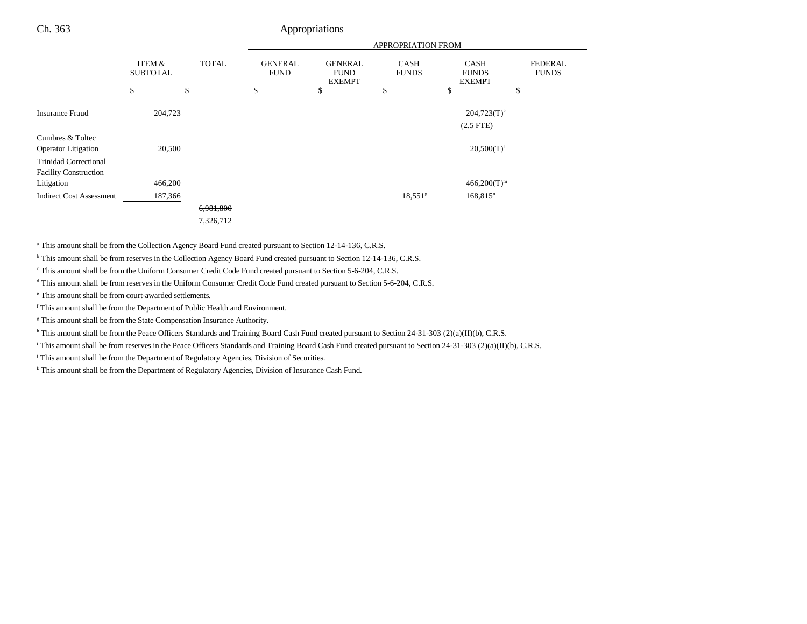|                                                                                |                           |              |                               |                                                | <b>APPROPRIATION FROM</b> |                                              |                                |
|--------------------------------------------------------------------------------|---------------------------|--------------|-------------------------------|------------------------------------------------|---------------------------|----------------------------------------------|--------------------------------|
|                                                                                | ITEM &<br><b>SUBTOTAL</b> | <b>TOTAL</b> | <b>GENERAL</b><br><b>FUND</b> | <b>GENERAL</b><br><b>FUND</b><br><b>EXEMPT</b> | CASH<br><b>FUNDS</b>      | <b>CASH</b><br><b>FUNDS</b><br><b>EXEMPT</b> | <b>FEDERAL</b><br><b>FUNDS</b> |
|                                                                                | \$                        | \$           | \$                            | \$                                             | \$                        | \$                                           | \$                             |
| <b>Insurance Fraud</b>                                                         | 204,723                   |              |                               |                                                |                           | $204,723(T)^k$<br>$(2.5$ FTE $)$             |                                |
| Cumbres & Toltec<br><b>Operator</b> Litigation<br><b>Trinidad Correctional</b> | 20,500                    |              |                               |                                                |                           | $20,500(T)^1$                                |                                |
| <b>Facility Construction</b><br>Litigation                                     | 466,200                   |              |                               |                                                |                           | $466,200(T)^m$                               |                                |
| <b>Indirect Cost Assessment</b>                                                | 187,366                   |              |                               |                                                | $18,551$ <sup>g</sup>     | $168,815$ <sup>n</sup>                       |                                |
|                                                                                |                           | 6,981,800    |                               |                                                |                           |                                              |                                |
|                                                                                |                           | 7,326,712    |                               |                                                |                           |                                              |                                |

<sup>a</sup> This amount shall be from the Collection Agency Board Fund created pursuant to Section 12-14-136, C.R.S.

<sup>b</sup> This amount shall be from reserves in the Collection Agency Board Fund created pursuant to Section 12-14-136, C.R.S.

c This amount shall be from the Uniform Consumer Credit Code Fund created pursuant to Section 5-6-204, C.R.S.

d This amount shall be from reserves in the Uniform Consumer Credit Code Fund created pursuant to Section 5-6-204, C.R.S.

e This amount shall be from court-awarded settlements.

f This amount shall be from the Department of Public Health and Environment.

<sup>g</sup> This amount shall be from the State Compensation Insurance Authority.

h This amount shall be from the Peace Officers Standards and Training Board Cash Fund created pursuant to Section 24-31-303 (2)(a)(II)(b), C.R.S.

i This amount shall be from reserves in the Peace Officers Standards and Training Board Cash Fund created pursuant to Section 24-31-303 (2)(a)(II)(b), C.R.S.

<sup>j</sup> This amount shall be from the Department of Regulatory Agencies, Division of Securities.

<sup>k</sup> This amount shall be from the Department of Regulatory Agencies, Division of Insurance Cash Fund.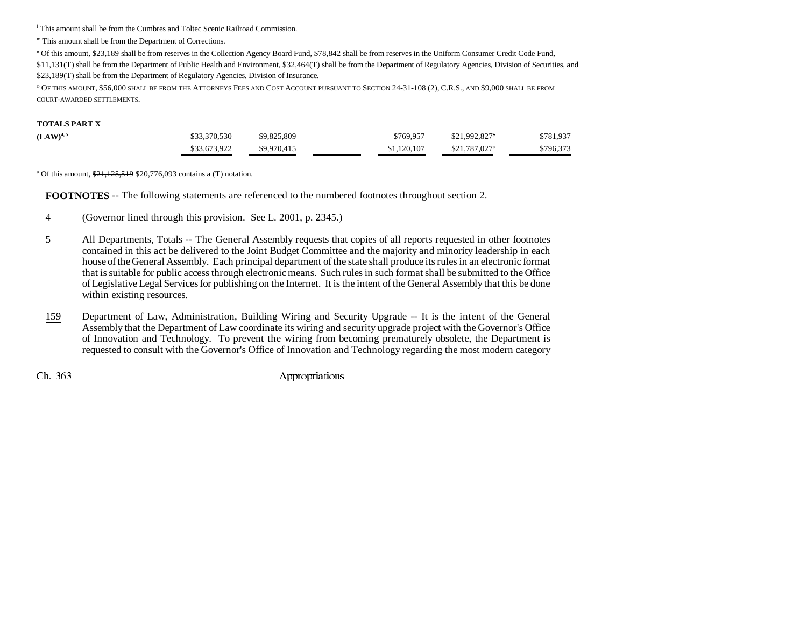l This amount shall be from the Cumbres and Toltec Scenic Railroad Commission.

m This amount shall be from the Department of Corrections.

n Of this amount, \$23,189 shall be from reserves in the Collection Agency Board Fund, \$78,842 shall be from reserves in the Uniform Consumer Credit Code Fund,

\$11,131(T) shall be from the Department of Public Health and Environment, \$32,464(T) shall be from the Department of Regulatory Agencies, Division of Securities, and \$23,189(T) shall be from the Department of Regulatory Agencies, Division of Insurance.

<sup>o</sup> Of this amount, \$56,000 shall be from the Attorneys Fees and Cost Account pursuant to Section 24-31-108 (2), C.R.S., and \$9,000 shall be from COURT-AWARDED SETTLEMENTS.

#### **TOTALS PART X**

| $(LAW)^{4,5}$ | <del>\$33,370,530</del> | \$9,825,809 | \$769.957   | <del>\$21.992.827</del> *  | \$781,937 |
|---------------|-------------------------|-------------|-------------|----------------------------|-----------|
|               | \$33,673,922            | \$9,970,415 | \$1,120,107 | $$21.787.027$ <sup>a</sup> | \$796,373 |

<sup>a</sup> Of this amount,  $\frac{$21,125,519}{20,776,093}$  contains a (T) notation.

**FOOTNOTES** -- The following statements are referenced to the numbered footnotes throughout section 2.

- 4 (Governor lined through this provision. See L. 2001, p. 2345.)
- 5 All Departments, Totals -- The General Assembly requests that copies of all reports requested in other footnotes contained in this act be delivered to the Joint Budget Committee and the majority and minority leadership in each house of the General Assembly. Each principal department of the state shall produce its rules in an electronic format that is suitable for public access through electronic means. Such rules in such format shall be submitted to the Office of Legislative Legal Services for publishing on the Internet. It is the intent of the General Assembly that this be done within existing resources.
- 159 Department of Law, Administration, Building Wiring and Security Upgrade -- It is the intent of the General Assembly that the Department of Law coordinate its wiring and security upgrade project with the Governor's Office of Innovation and Technology. To prevent the wiring from becoming prematurely obsolete, the Department is requested to consult with the Governor's Office of Innovation and Technology regarding the most modern category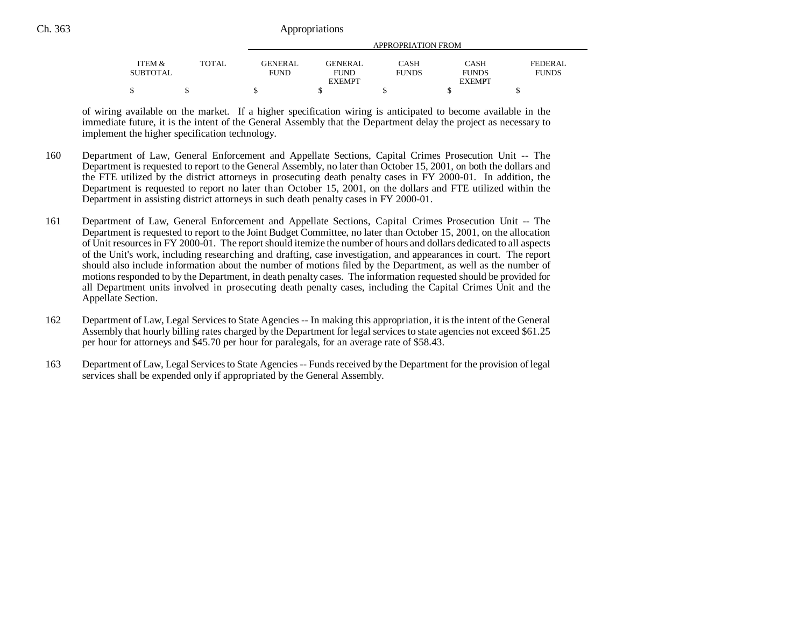|                   |              |                |                | APPROPRIATION FROM |               |              |
|-------------------|--------------|----------------|----------------|--------------------|---------------|--------------|
| <b>ITEM &amp;</b> | <b>TOTAL</b> | <b>GENERAL</b> | <b>GENERAL</b> | <b>CASH</b>        | CASH          | FEDERAL      |
| SUBTOTAL          |              | FUND           | <b>FUND</b>    | <b>FUNDS</b>       | <b>FUNDS</b>  | <b>FUNDS</b> |
|                   |              |                | <b>EXEMPT</b>  |                    | <b>EXEMPT</b> |              |
|                   |              |                |                |                    |               |              |

of wiring available on the market. If a higher specification wiring is anticipated to become available in the immediate future, it is the intent of the General Assembly that the Department delay the project as necessary to implement the higher specification technology.

- 160 Department of Law, General Enforcement and Appellate Sections, Capital Crimes Prosecution Unit -- The Department is requested to report to the General Assembly, no later than October 15, 2001, on both the dollars and the FTE utilized by the district attorneys in prosecuting death penalty cases in FY 2000-01. In addition, the Department is requested to report no later than October 15, 2001, on the dollars and FTE utilized within the Department in assisting district attorneys in such death penalty cases in FY 2000-01.
- 161 Department of Law, General Enforcement and Appellate Sections, Capital Crimes Prosecution Unit -- The Department is requested to report to the Joint Budget Committee, no later than October 15, 2001, on the allocation of Unit resources in FY 2000-01. The report should itemize the number of hours and dollars dedicated to all aspects of the Unit's work, including researching and drafting, case investigation, and appearances in court. The report should also include information about the number of motions filed by the Department, as well as the number of motions responded to by the Department, in death penalty cases. The information requested should be provided for all Department units involved in prosecuting death penalty cases, including the Capital Crimes Unit and the Appellate Section.
- 162 Department of Law, Legal Services to State Agencies -- In making this appropriation, it is the intent of the General Assembly that hourly billing rates charged by the Department for legal services to state agencies not exceed \$61.25 per hour for attorneys and \$45.70 per hour for paralegals, for an average rate of \$58.43.
- 163 Department of Law, Legal Services to State Agencies -- Funds received by the Department for the provision of legal services shall be expended only if appropriated by the General Assembly.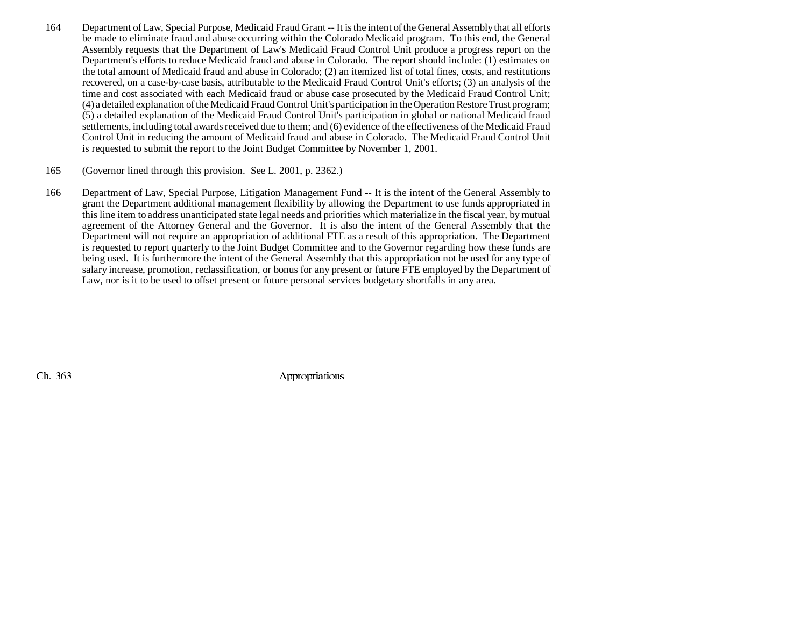- 164 Department of Law, Special Purpose, Medicaid Fraud Grant -- It is the intent of the General Assembly that all efforts be made to eliminate fraud and abuse occurring within the Colorado Medicaid program. To this end, the General Assembly requests that the Department of Law's Medicaid Fraud Control Unit produce a progress report on the Department's efforts to reduce Medicaid fraud and abuse in Colorado. The report should include: (1) estimates on the total amount of Medicaid fraud and abuse in Colorado; (2) an itemized list of total fines, costs, and restitutions recovered, on a case-by-case basis, attributable to the Medicaid Fraud Control Unit's efforts; (3) an analysis of the time and cost associated with each Medicaid fraud or abuse case prosecuted by the Medicaid Fraud Control Unit; (4) a detailed explanation of the Medicaid Fraud Control Unit's participation in the Operation Restore Trust program; (5) a detailed explanation of the Medicaid Fraud Control Unit's participation in global or national Medicaid fraud settlements, including total awards received due to them; and (6) evidence of the effectiveness of the Medicaid Fraud Control Unit in reducing the amount of Medicaid fraud and abuse in Colorado. The Medicaid Fraud Control Unit is requested to submit the report to the Joint Budget Committee by November 1, 2001.
- 165 (Governor lined through this provision. See L. 2001, p. 2362.)
- 166 Department of Law, Special Purpose, Litigation Management Fund -- It is the intent of the General Assembly to grant the Department additional management flexibility by allowing the Department to use funds appropriated in this line item to address unanticipated state legal needs and priorities which materialize in the fiscal year, by mutual agreement of the Attorney General and the Governor. It is also the intent of the General Assembly that the Department will not require an appropriation of additional FTE as a result of this appropriation. The Department is requested to report quarterly to the Joint Budget Committee and to the Governor regarding how these funds are being used. It is furthermore the intent of the General Assembly that this appropriation not be used for any type of salary increase, promotion, reclassification, or bonus for any present or future FTE employed by the Department of Law, nor is it to be used to offset present or future personal services budgetary shortfalls in any area.